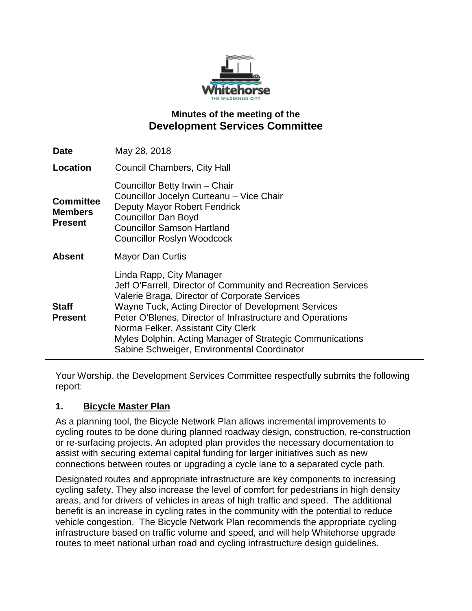

# **Minutes of the meeting of the Development Services Committee**

| <b>Date</b>                                          | May 28, 2018                                                                                                                                                                                                                                                                                                                                                                                                     |
|------------------------------------------------------|------------------------------------------------------------------------------------------------------------------------------------------------------------------------------------------------------------------------------------------------------------------------------------------------------------------------------------------------------------------------------------------------------------------|
| Location                                             | <b>Council Chambers, City Hall</b>                                                                                                                                                                                                                                                                                                                                                                               |
| <b>Committee</b><br><b>Members</b><br><b>Present</b> | Councillor Betty Irwin - Chair<br>Councillor Jocelyn Curteanu - Vice Chair<br>Deputy Mayor Robert Fendrick<br><b>Councillor Dan Boyd</b><br><b>Councillor Samson Hartland</b><br><b>Councillor Roslyn Woodcock</b>                                                                                                                                                                                               |
| <b>Absent</b>                                        | <b>Mayor Dan Curtis</b>                                                                                                                                                                                                                                                                                                                                                                                          |
| <b>Staff</b><br><b>Present</b>                       | Linda Rapp, City Manager<br>Jeff O'Farrell, Director of Community and Recreation Services<br>Valerie Braga, Director of Corporate Services<br>Wayne Tuck, Acting Director of Development Services<br>Peter O'Blenes, Director of Infrastructure and Operations<br>Norma Felker, Assistant City Clerk<br>Myles Dolphin, Acting Manager of Strategic Communications<br>Sabine Schweiger, Environmental Coordinator |

Your Worship, the Development Services Committee respectfully submits the following report:

## **1. Bicycle Master Plan**

As a planning tool, the Bicycle Network Plan allows incremental improvements to cycling routes to be done during planned roadway design, construction, re-construction or re-surfacing projects. An adopted plan provides the necessary documentation to assist with securing external capital funding for larger initiatives such as new connections between routes or upgrading a cycle lane to a separated cycle path.

Designated routes and appropriate infrastructure are key components to increasing cycling safety. They also increase the level of comfort for pedestrians in high density areas, and for drivers of vehicles in areas of high traffic and speed. The additional benefit is an increase in cycling rates in the community with the potential to reduce vehicle congestion. The Bicycle Network Plan recommends the appropriate cycling infrastructure based on traffic volume and speed, and will help Whitehorse upgrade routes to meet national urban road and cycling infrastructure design guidelines.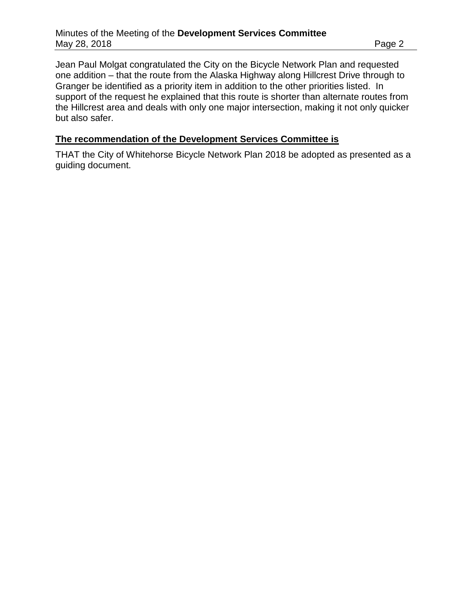Jean Paul Molgat congratulated the City on the Bicycle Network Plan and requested one addition – that the route from the Alaska Highway along Hillcrest Drive through to Granger be identified as a priority item in addition to the other priorities listed. In support of the request he explained that this route is shorter than alternate routes from the Hillcrest area and deals with only one major intersection, making it not only quicker but also safer.

#### **The recommendation of the Development Services Committee is**

THAT the City of Whitehorse Bicycle Network Plan 2018 be adopted as presented as a guiding document.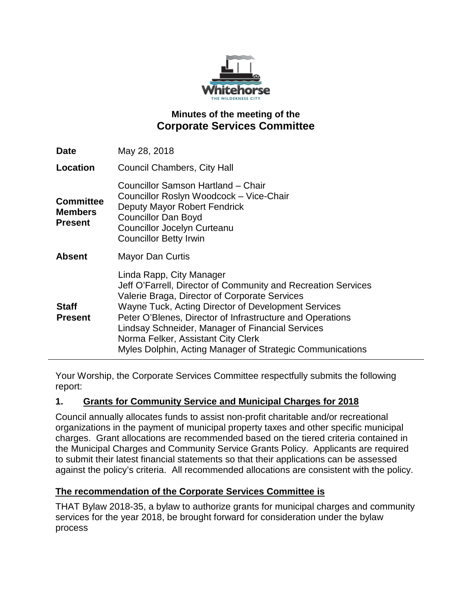

# **Minutes of the meeting of the Corporate Services Committee**

| May 28, 2018                                                                                                                                                                                                                                                                                                                                                                                                          |
|-----------------------------------------------------------------------------------------------------------------------------------------------------------------------------------------------------------------------------------------------------------------------------------------------------------------------------------------------------------------------------------------------------------------------|
| <b>Council Chambers, City Hall</b>                                                                                                                                                                                                                                                                                                                                                                                    |
| Councillor Samson Hartland - Chair<br>Councillor Roslyn Woodcock - Vice-Chair<br>Deputy Mayor Robert Fendrick<br><b>Councillor Dan Boyd</b><br><b>Councillor Jocelyn Curteanu</b><br><b>Councillor Betty Irwin</b>                                                                                                                                                                                                    |
| <b>Mayor Dan Curtis</b>                                                                                                                                                                                                                                                                                                                                                                                               |
| Linda Rapp, City Manager<br>Jeff O'Farrell, Director of Community and Recreation Services<br>Valerie Braga, Director of Corporate Services<br>Wayne Tuck, Acting Director of Development Services<br>Peter O'Blenes, Director of Infrastructure and Operations<br>Lindsay Schneider, Manager of Financial Services<br>Norma Felker, Assistant City Clerk<br>Myles Dolphin, Acting Manager of Strategic Communications |
|                                                                                                                                                                                                                                                                                                                                                                                                                       |

Your Worship, the Corporate Services Committee respectfully submits the following report:

#### **1. Grants for Community Service and Municipal Charges for 2018**

Council annually allocates funds to assist non-profit charitable and/or recreational organizations in the payment of municipal property taxes and other specific municipal charges. Grant allocations are recommended based on the tiered criteria contained in the Municipal Charges and Community Service Grants Policy. Applicants are required to submit their latest financial statements so that their applications can be assessed against the policy's criteria. All recommended allocations are consistent with the policy.

## **The recommendation of the Corporate Services Committee is**

THAT Bylaw 2018-35, a bylaw to authorize grants for municipal charges and community services for the year 2018, be brought forward for consideration under the bylaw process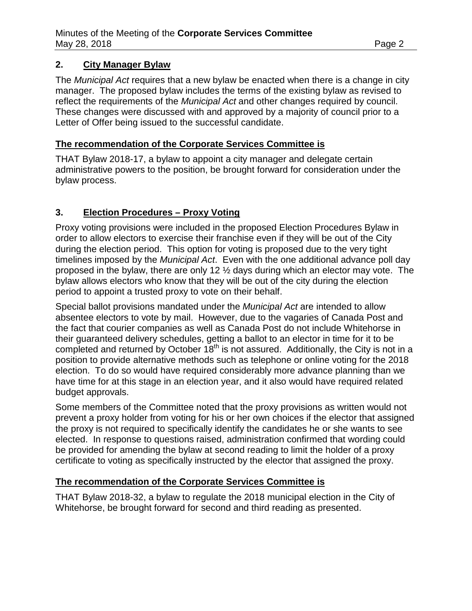#### **2. City Manager Bylaw**

The *Municipal Act* requires that a new bylaw be enacted when there is a change in city manager. The proposed bylaw includes the terms of the existing bylaw as revised to reflect the requirements of the *Municipal Act* and other changes required by council. These changes were discussed with and approved by a majority of council prior to a Letter of Offer being issued to the successful candidate.

#### **The recommendation of the Corporate Services Committee is**

THAT Bylaw 2018-17, a bylaw to appoint a city manager and delegate certain administrative powers to the position, be brought forward for consideration under the bylaw process.

## **3. Election Procedures – Proxy Voting**

Proxy voting provisions were included in the proposed Election Procedures Bylaw in order to allow electors to exercise their franchise even if they will be out of the City during the election period. This option for voting is proposed due to the very tight timelines imposed by the *Municipal Act*. Even with the one additional advance poll day proposed in the bylaw, there are only 12 ½ days during which an elector may vote. The bylaw allows electors who know that they will be out of the city during the election period to appoint a trusted proxy to vote on their behalf.

Special ballot provisions mandated under the *Municipal Act* are intended to allow absentee electors to vote by mail. However, due to the vagaries of Canada Post and the fact that courier companies as well as Canada Post do not include Whitehorse in their guaranteed delivery schedules, getting a ballot to an elector in time for it to be completed and returned by October 18<sup>th</sup> is not assured. Additionally, the City is not in a position to provide alternative methods such as telephone or online voting for the 2018 election. To do so would have required considerably more advance planning than we have time for at this stage in an election year, and it also would have required related budget approvals.

Some members of the Committee noted that the proxy provisions as written would not prevent a proxy holder from voting for his or her own choices if the elector that assigned the proxy is not required to specifically identify the candidates he or she wants to see elected. In response to questions raised, administration confirmed that wording could be provided for amending the bylaw at second reading to limit the holder of a proxy certificate to voting as specifically instructed by the elector that assigned the proxy.

## **The recommendation of the Corporate Services Committee is**

THAT Bylaw 2018-32, a bylaw to regulate the 2018 municipal election in the City of Whitehorse, be brought forward for second and third reading as presented.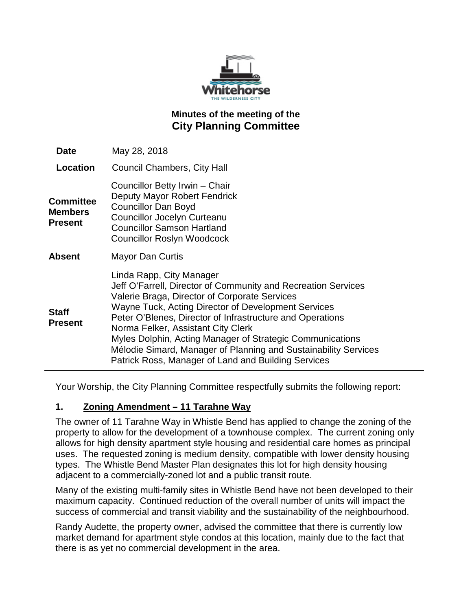

# **Minutes of the meeting of the City Planning Committee**

| <b>Date</b>                            | May 28, 2018                                                                                                                                                                                                                                                                                                                                                                                                                                                                                |
|----------------------------------------|---------------------------------------------------------------------------------------------------------------------------------------------------------------------------------------------------------------------------------------------------------------------------------------------------------------------------------------------------------------------------------------------------------------------------------------------------------------------------------------------|
| Location                               | Council Chambers, City Hall                                                                                                                                                                                                                                                                                                                                                                                                                                                                 |
| <b>Committee</b><br>Members<br>Present | Councillor Betty Irwin - Chair<br>Deputy Mayor Robert Fendrick<br><b>Councillor Dan Boyd</b><br><b>Councillor Jocelyn Curteanu</b><br><b>Councillor Samson Hartland</b><br><b>Councillor Roslyn Woodcock</b>                                                                                                                                                                                                                                                                                |
| Absent                                 | Mayor Dan Curtis                                                                                                                                                                                                                                                                                                                                                                                                                                                                            |
| Staff<br><b>Present</b>                | Linda Rapp, City Manager<br>Jeff O'Farrell, Director of Community and Recreation Services<br>Valerie Braga, Director of Corporate Services<br>Wayne Tuck, Acting Director of Development Services<br>Peter O'Blenes, Director of Infrastructure and Operations<br>Norma Felker, Assistant City Clerk<br>Myles Dolphin, Acting Manager of Strategic Communications<br>Mélodie Simard, Manager of Planning and Sustainability Services<br>Patrick Ross, Manager of Land and Building Services |

Your Worship, the City Planning Committee respectfully submits the following report:

## **1. Zoning Amendment – 11 Tarahne Way**

The owner of 11 Tarahne Way in Whistle Bend has applied to change the zoning of the property to allow for the development of a townhouse complex. The current zoning only allows for high density apartment style housing and residential care homes as principal uses. The requested zoning is medium density, compatible with lower density housing types. The Whistle Bend Master Plan designates this lot for high density housing adjacent to a commercially-zoned lot and a public transit route.

Many of the existing multi-family sites in Whistle Bend have not been developed to their maximum capacity. Continued reduction of the overall number of units will impact the success of commercial and transit viability and the sustainability of the neighbourhood.

Randy Audette, the property owner, advised the committee that there is currently low market demand for apartment style condos at this location, mainly due to the fact that there is as yet no commercial development in the area.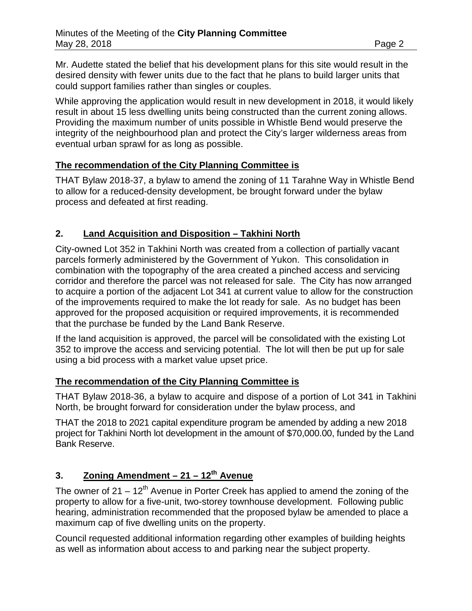Mr. Audette stated the belief that his development plans for this site would result in the desired density with fewer units due to the fact that he plans to build larger units that could support families rather than singles or couples.

While approving the application would result in new development in 2018, it would likely result in about 15 less dwelling units being constructed than the current zoning allows. Providing the maximum number of units possible in Whistle Bend would preserve the integrity of the neighbourhood plan and protect the City's larger wilderness areas from eventual urban sprawl for as long as possible.

## **The recommendation of the City Planning Committee is**

THAT Bylaw 2018-37, a bylaw to amend the zoning of 11 Tarahne Way in Whistle Bend to allow for a reduced-density development, be brought forward under the bylaw process and defeated at first reading.

## **2. Land Acquisition and Disposition – Takhini North**

City-owned Lot 352 in Takhini North was created from a collection of partially vacant parcels formerly administered by the Government of Yukon. This consolidation in combination with the topography of the area created a pinched access and servicing corridor and therefore the parcel was not released for sale. The City has now arranged to acquire a portion of the adjacent Lot 341 at current value to allow for the construction of the improvements required to make the lot ready for sale. As no budget has been approved for the proposed acquisition or required improvements, it is recommended that the purchase be funded by the Land Bank Reserve.

If the land acquisition is approved, the parcel will be consolidated with the existing Lot 352 to improve the access and servicing potential. The lot will then be put up for sale using a bid process with a market value upset price.

## **The recommendation of the City Planning Committee is**

THAT Bylaw 2018-36, a bylaw to acquire and dispose of a portion of Lot 341 in Takhini North, be brought forward for consideration under the bylaw process, and

THAT the 2018 to 2021 capital expenditure program be amended by adding a new 2018 project for Takhini North lot development in the amount of \$70,000.00, funded by the Land Bank Reserve.

# **3. Zoning Amendment – 21 – 12th Avenue**

The owner of  $21 - 12<sup>th</sup>$  Avenue in Porter Creek has applied to amend the zoning of the property to allow for a five-unit, two-storey townhouse development. Following public hearing, administration recommended that the proposed bylaw be amended to place a maximum cap of five dwelling units on the property.

Council requested additional information regarding other examples of building heights as well as information about access to and parking near the subject property.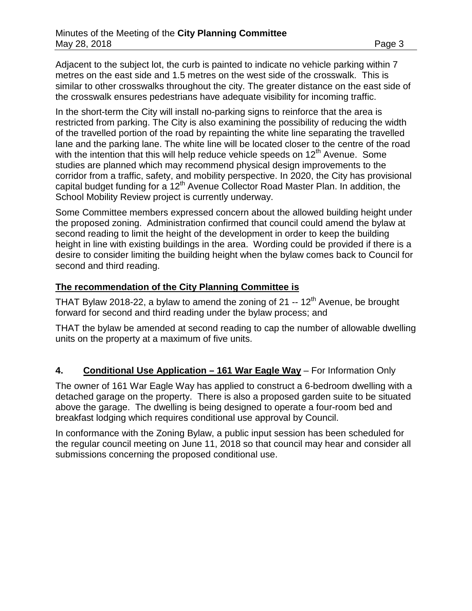Adjacent to the subject lot, the curb is painted to indicate no vehicle parking within 7 metres on the east side and 1.5 metres on the west side of the crosswalk. This is similar to other crosswalks throughout the city. The greater distance on the east side of the crosswalk ensures pedestrians have adequate visibility for incoming traffic.

In the short-term the City will install no-parking signs to reinforce that the area is restricted from parking. The City is also examining the possibility of reducing the width of the travelled portion of the road by repainting the white line separating the travelled lane and the parking lane. The white line will be located closer to the centre of the road with the intention that this will help reduce vehicle speeds on  $12<sup>th</sup>$  Avenue. Some studies are planned which may recommend physical design improvements to the corridor from a traffic, safety, and mobility perspective. In 2020, the City has provisional capital budget funding for a 12<sup>th</sup> Avenue Collector Road Master Plan. In addition, the School Mobility Review project is currently underway.

Some Committee members expressed concern about the allowed building height under the proposed zoning. Administration confirmed that council could amend the bylaw at second reading to limit the height of the development in order to keep the building height in line with existing buildings in the area. Wording could be provided if there is a desire to consider limiting the building height when the bylaw comes back to Council for second and third reading.

#### **The recommendation of the City Planning Committee is**

THAT Bylaw 2018-22, a bylaw to amend the zoning of 21 --  $12<sup>th</sup>$  Avenue, be brought forward for second and third reading under the bylaw process; and

THAT the bylaw be amended at second reading to cap the number of allowable dwelling units on the property at a maximum of five units.

## **4. Conditional Use Application – 161 War Eagle Way** – For Information Only

The owner of 161 War Eagle Way has applied to construct a 6-bedroom dwelling with a detached garage on the property. There is also a proposed garden suite to be situated above the garage. The dwelling is being designed to operate a four-room bed and breakfast lodging which requires conditional use approval by Council.

In conformance with the Zoning Bylaw, a public input session has been scheduled for the regular council meeting on June 11, 2018 so that council may hear and consider all submissions concerning the proposed conditional use.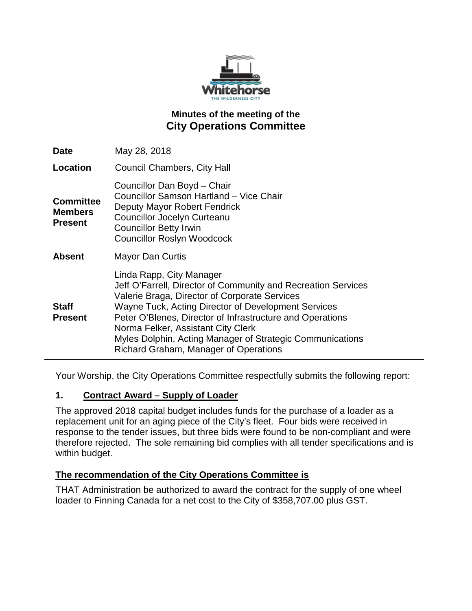

# **Minutes of the meeting of the City Operations Committee**

| <b>Date</b>                                          | May 28, 2018                                                                                                                                                                                                                                                                                                                                                                                               |
|------------------------------------------------------|------------------------------------------------------------------------------------------------------------------------------------------------------------------------------------------------------------------------------------------------------------------------------------------------------------------------------------------------------------------------------------------------------------|
| Location                                             | <b>Council Chambers, City Hall</b>                                                                                                                                                                                                                                                                                                                                                                         |
| <b>Committee</b><br><b>Members</b><br><b>Present</b> | Councillor Dan Boyd - Chair<br>Councillor Samson Hartland - Vice Chair<br>Deputy Mayor Robert Fendrick<br><b>Councillor Jocelyn Curteanu</b><br><b>Councillor Betty Irwin</b><br><b>Councillor Roslyn Woodcock</b>                                                                                                                                                                                         |
| <b>Absent</b>                                        | <b>Mayor Dan Curtis</b>                                                                                                                                                                                                                                                                                                                                                                                    |
| <b>Staff</b><br><b>Present</b>                       | Linda Rapp, City Manager<br>Jeff O'Farrell, Director of Community and Recreation Services<br>Valerie Braga, Director of Corporate Services<br>Wayne Tuck, Acting Director of Development Services<br>Peter O'Blenes, Director of Infrastructure and Operations<br>Norma Felker, Assistant City Clerk<br>Myles Dolphin, Acting Manager of Strategic Communications<br>Richard Graham, Manager of Operations |

Your Worship, the City Operations Committee respectfully submits the following report:

#### **1. Contract Award – Supply of Loader**

The approved 2018 capital budget includes funds for the purchase of a loader as a replacement unit for an aging piece of the City's fleet. Four bids were received in response to the tender issues, but three bids were found to be non-compliant and were therefore rejected. The sole remaining bid complies with all tender specifications and is within budget.

## **The recommendation of the City Operations Committee is**

THAT Administration be authorized to award the contract for the supply of one wheel loader to Finning Canada for a net cost to the City of \$358,707.00 plus GST.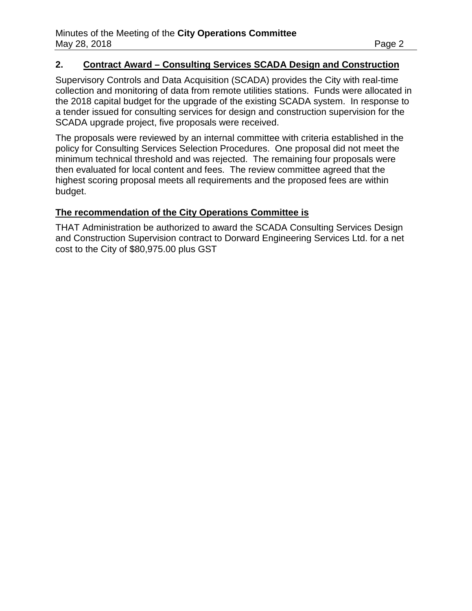#### **2. Contract Award – Consulting Services SCADA Design and Construction**

Supervisory Controls and Data Acquisition (SCADA) provides the City with real-time collection and monitoring of data from remote utilities stations. Funds were allocated in the 2018 capital budget for the upgrade of the existing SCADA system. In response to a tender issued for consulting services for design and construction supervision for the SCADA upgrade project, five proposals were received.

The proposals were reviewed by an internal committee with criteria established in the policy for Consulting Services Selection Procedures. One proposal did not meet the minimum technical threshold and was rejected. The remaining four proposals were then evaluated for local content and fees. The review committee agreed that the highest scoring proposal meets all requirements and the proposed fees are within budget.

#### **The recommendation of the City Operations Committee is**

THAT Administration be authorized to award the SCADA Consulting Services Design and Construction Supervision contract to Dorward Engineering Services Ltd. for a net cost to the City of \$80,975.00 plus GST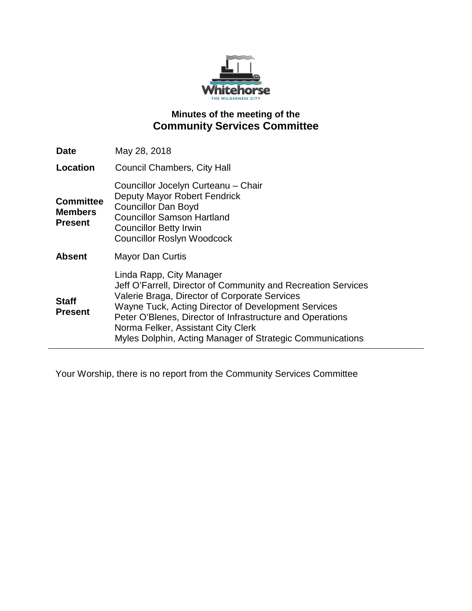

# **Minutes of the meeting of the Community Services Committee**

| <b>Date</b>                                          | May 28, 2018                                                                                                                                                                                                                                                                                                                                                      |
|------------------------------------------------------|-------------------------------------------------------------------------------------------------------------------------------------------------------------------------------------------------------------------------------------------------------------------------------------------------------------------------------------------------------------------|
| Location                                             | <b>Council Chambers, City Hall</b>                                                                                                                                                                                                                                                                                                                                |
| <b>Committee</b><br><b>Members</b><br><b>Present</b> | Councillor Jocelyn Curteanu - Chair<br>Deputy Mayor Robert Fendrick<br><b>Councillor Dan Boyd</b><br><b>Councillor Samson Hartland</b><br><b>Councillor Betty Irwin</b><br><b>Councillor Roslyn Woodcock</b>                                                                                                                                                      |
| <b>Absent</b>                                        | <b>Mayor Dan Curtis</b>                                                                                                                                                                                                                                                                                                                                           |
| <b>Staff</b><br><b>Present</b>                       | Linda Rapp, City Manager<br>Jeff O'Farrell, Director of Community and Recreation Services<br>Valerie Braga, Director of Corporate Services<br>Wayne Tuck, Acting Director of Development Services<br>Peter O'Blenes, Director of Infrastructure and Operations<br>Norma Felker, Assistant City Clerk<br>Myles Dolphin, Acting Manager of Strategic Communications |

Your Worship, there is no report from the Community Services Committee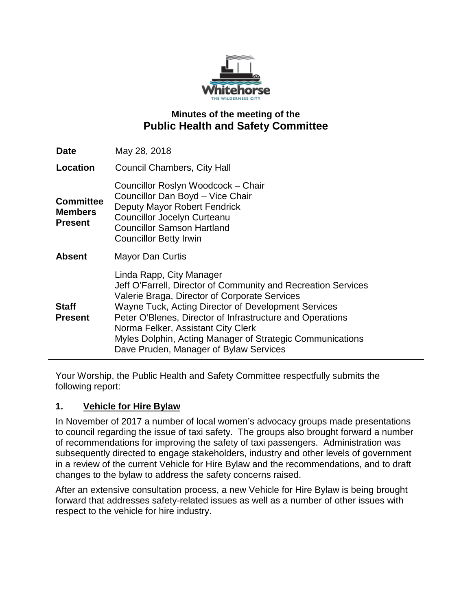

# **Minutes of the meeting of the Public Health and Safety Committee**

| <b>Date</b>                                          | May 28, 2018                                                                                                                                                                                                                                                                                                                                                                                                |
|------------------------------------------------------|-------------------------------------------------------------------------------------------------------------------------------------------------------------------------------------------------------------------------------------------------------------------------------------------------------------------------------------------------------------------------------------------------------------|
| Location                                             | <b>Council Chambers, City Hall</b>                                                                                                                                                                                                                                                                                                                                                                          |
| <b>Committee</b><br><b>Members</b><br><b>Present</b> | Councillor Roslyn Woodcock - Chair<br>Councillor Dan Boyd - Vice Chair<br>Deputy Mayor Robert Fendrick<br><b>Councillor Jocelyn Curteanu</b><br><b>Councillor Samson Hartland</b><br><b>Councillor Betty Irwin</b>                                                                                                                                                                                          |
| <b>Absent</b>                                        | <b>Mayor Dan Curtis</b>                                                                                                                                                                                                                                                                                                                                                                                     |
| <b>Staff</b><br><b>Present</b>                       | Linda Rapp, City Manager<br>Jeff O'Farrell, Director of Community and Recreation Services<br>Valerie Braga, Director of Corporate Services<br>Wayne Tuck, Acting Director of Development Services<br>Peter O'Blenes, Director of Infrastructure and Operations<br>Norma Felker, Assistant City Clerk<br>Myles Dolphin, Acting Manager of Strategic Communications<br>Dave Pruden, Manager of Bylaw Services |

Your Worship, the Public Health and Safety Committee respectfully submits the following report:

## **1. Vehicle for Hire Bylaw**

In November of 2017 a number of local women's advocacy groups made presentations to council regarding the issue of taxi safety. The groups also brought forward a number of recommendations for improving the safety of taxi passengers. Administration was subsequently directed to engage stakeholders, industry and other levels of government in a review of the current Vehicle for Hire Bylaw and the recommendations, and to draft changes to the bylaw to address the safety concerns raised.

After an extensive consultation process, a new Vehicle for Hire Bylaw is being brought forward that addresses safety-related issues as well as a number of other issues with respect to the vehicle for hire industry.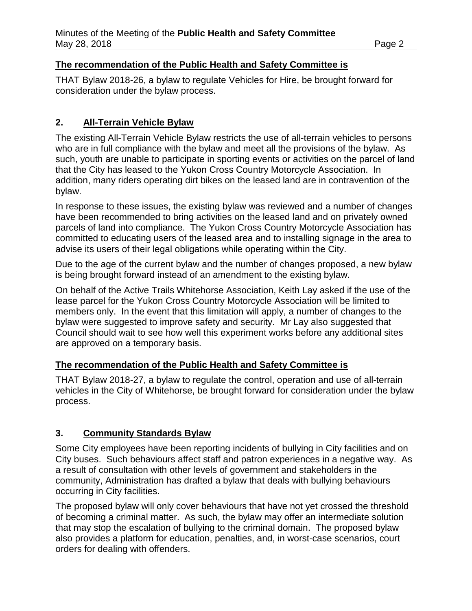## **The recommendation of the Public Health and Safety Committee is**

THAT Bylaw 2018-26, a bylaw to regulate Vehicles for Hire, be brought forward for consideration under the bylaw process.

# **2. All-Terrain Vehicle Bylaw**

The existing All-Terrain Vehicle Bylaw restricts the use of all-terrain vehicles to persons who are in full compliance with the bylaw and meet all the provisions of the bylaw. As such, youth are unable to participate in sporting events or activities on the parcel of land that the City has leased to the Yukon Cross Country Motorcycle Association. In addition, many riders operating dirt bikes on the leased land are in contravention of the bylaw.

In response to these issues, the existing bylaw was reviewed and a number of changes have been recommended to bring activities on the leased land and on privately owned parcels of land into compliance. The Yukon Cross Country Motorcycle Association has committed to educating users of the leased area and to installing signage in the area to advise its users of their legal obligations while operating within the City.

Due to the age of the current bylaw and the number of changes proposed, a new bylaw is being brought forward instead of an amendment to the existing bylaw.

On behalf of the Active Trails Whitehorse Association, Keith Lay asked if the use of the lease parcel for the Yukon Cross Country Motorcycle Association will be limited to members only. In the event that this limitation will apply, a number of changes to the bylaw were suggested to improve safety and security. Mr Lay also suggested that Council should wait to see how well this experiment works before any additional sites are approved on a temporary basis.

## **The recommendation of the Public Health and Safety Committee is**

THAT Bylaw 2018-27, a bylaw to regulate the control, operation and use of all-terrain vehicles in the City of Whitehorse, be brought forward for consideration under the bylaw process.

# **3. Community Standards Bylaw**

Some City employees have been reporting incidents of bullying in City facilities and on City buses. Such behaviours affect staff and patron experiences in a negative way. As a result of consultation with other levels of government and stakeholders in the community, Administration has drafted a bylaw that deals with bullying behaviours occurring in City facilities.

The proposed bylaw will only cover behaviours that have not yet crossed the threshold of becoming a criminal matter. As such, the bylaw may offer an intermediate solution that may stop the escalation of bullying to the criminal domain. The proposed bylaw also provides a platform for education, penalties, and, in worst-case scenarios, court orders for dealing with offenders.